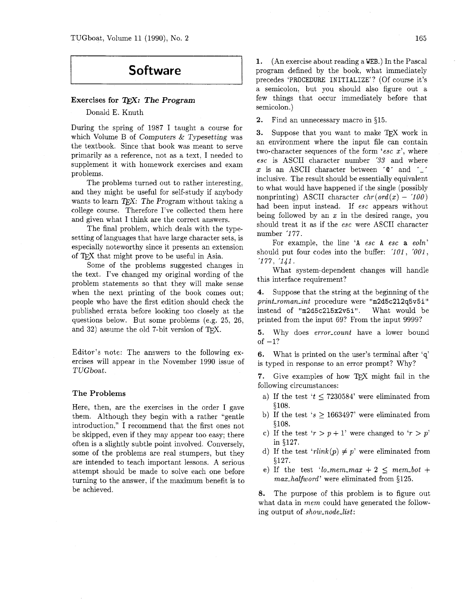# **Software**

## **Exercises for** QX: *The* **Program**

## Donald E. Knuth

During the spring of 1987 I taught a course for which Volume B of Computers & Typesetting was the textbook. Since that book was meant to serve primarily as a reference, not as a text, I needed to supplement it with homework exercises and exam problems.

The problems turned out to rather interesting, and they might be useful for self-study if anybody wants to learn  $T_F X$ : The Program without taking a college course. Therefore I've collected them here and given what I think are the correct answers.

The final problem, which deals with the typesetting of languages that have large character sets, is especially noteworthy since it presents an extension of T<sub>F</sub>X that might prove to be useful in Asia.

Some of the problems suggested changes in the text. I've changed my original wording of the problem statements so that they will make sense when the next printing of the book comes out; people who have the first edition should check the published errata before looking too closely at the questions below. But some problems (e.g. 25, 26, and  $32$ ) assume the old 7-bit version of TFX.

Editor's note: The answers to the following exercises will appear in the November 1990 issue of TUGboat.

#### **The Problems**

Here, then, are the exercises in the order I gave them. Although they begin with a rather "gentle introduction," I recommend that the first ones not be skipped, even if they may appear too easy; there often is a slightly subtle point involved. Conversely, some of the problems are real stumpers, but they are intended to teach important lessons. A serious attempt should be made to solve each one before turning to the answer, if the maximum benefit is to be achieved.

**2.** Find an unnecessary macro in \$15.

3. Suppose that you want to make TFX work in an environment where the input file can contain two-character sequences of the form 'esc  $x$ ', where esc is ASCII character number **'33** and where x is an ASCII character between  $\degree$  and  $\degree$ inclusive. The result should be essentially equivalent to what would have happened if the single (possibly nonprinting) ASCII character  $chr(ord(x) - 100)$ had been input instead. If esc appears without being followed by an  $x$  in the desired range, you should treat it as if the esc were ASCII character number '1 77.

For example, the line 'A esc A esc a eoln' should put four codes into the buffer:  $101$ ,  $001$ , '177, '141.

What system-dependent changes will handle this interface requirement?

**4.** Suppose that the string at the beginning of the  $print\_roman\_int$  procedure were "m2d5c212q5v5i" instead of  $'m2d5c215x2v5i'$ . What would be printed from the input 69? From the input 9999?

5. Why does error\_count have a lower bound of  $-1$ ?

**6.** What is printed on the user's terminal after 'q' is typed in response to an error prompt? Why?

7. Give examples of how TFX might fail in the following circumstances:

- a) If the test  $t \leq 7230584$  were eliminated from \$108.
- b) If the test  $s \ge 1663497$  were eliminated from \$108.
- c) If the test ' $r > p + 1$ ' were changed to ' $r > p$ ' in \$127.
- d) If the test 'rlink(p)  $\neq$  p' were eliminated from \$127.
- e) If the test 'lo<sub>-</sub>mem<sub>-</sub>max + 2  $\leq$  mem-bot + max\_halfword' were eliminated from §125.

**8.** The purpose of this problem is to figure out what data in *mem* could have generated the following output of show-node-list: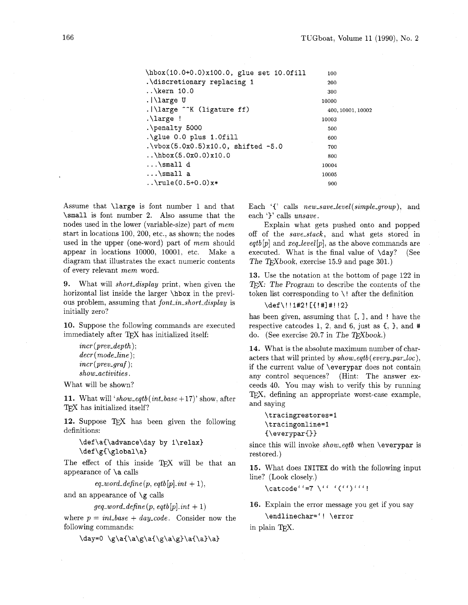| \hbox(10.0+0.0)x100.0, glue set 10.0fill  | 100               |
|-------------------------------------------|-------------------|
| .\discretionary replacing 1               | 200               |
| $\ldots$ kern 10.0                        | 300               |
| $. \lvert \$                              | 10000             |
| .   \large ^^K (ligature ff)              | 400, 10001, 10002 |
| .\large!                                  | 10003             |
| .\penalty 5000                            | 500               |
| $\qquad$ \glue 0.0 plus 1.0fill           | 600               |
| $.\v\to 5.0x(5.0x0.5)x10.0, shifted -5.0$ | 700               |
| $\hbar$ box $(5.0x0.0)x10.0$              | 800               |
| $\ldots$ \small d                         | 10004             |
| $\ldots$ \small a                         | 10005             |
| $.\cdot\$ rule(0.5+0.0)x*                 | 900               |

Assume that **\large** is font number 1 and that **\small** is font number 2. Also assume that the nodes used in the lower (variable-size) part of mem start in locations 100, 200, etc., as shown; the nodes used in the upper (one-word) part of mem should appear in locations 10000, 10001, etc. Make a diagram that illustrates the exact numeric contents of every relevant mem word.

**9.** What will short-display print, when given the horizontal list inside the larger **\hbox** in the previous problem, assuming that font-in-short-display is initially zero?

**10.** Suppose the following commands are executed immediately after TFX has initialized itself:

```
incr (prev_depth);
decr(mode-line); 
incr (prev<sub>-graf</sub>);
show-activities .
```
What will be shown?

**11.** What will 'show-eqtb (int-base + 17)' show, after TFX has initialized itself?

12. Suppose TFX has been given the following definitions:

```
\def\aC\advance\day by l\relax) 
\def \gC\global\a)
```
The effect of this inside TEX will be that an appearance of **\a** calls

 $eq$ -word-define(p, eqtb[p].int + 1),

and an appearance of **\g** calls

 $geq\_word\_define(p, eqtb[p].int + 1)$ 

where  $p = int\_base + day\_code$ . Consider now the following commands:

\day=0 \g\a{\a\g\a{\g\a\g}\a{\a}\a}

Each '{' calls  $new\_save\_level(simple\_group)$ , and each 'f' calls unsave.

Explain what gets pushed onto and popped off of the save-stack, and what gets stored in  $eqtb[p]$  and  $req\_level[p]$ , as the above commands are executed. What is the final value of **\day?** (See The T<sub>F</sub>Xbook, exercise 15.9 and page 301.)

**13.** Use the notation at the bottom of page 122 in T<sub>F</sub>X: The Program to describe the contents of the token list corresponding to  $\backslash$ ! after the definition

**\def\! !l#2!** [{!#I#! !2)

has been given, assuming that [, I, and ! have the respective catcodes 1, 2, and 6, just as **C, 1,** and # do. (See exercise 20.7 in The TFXbook.)

14. What is the absolute maximum number of characters that will printed by **show-eqtb(every-par-loc),**  if the current value of **\everypar** does not contain any control sequences? (Hint: The answer exceeds 40. You may wish to verify this by running TEX. defining an appropriate worst-case example, and saying

```
\tracingrestores=l 
\tracingonline=l 
C\everyparC))
```
since this will invoke show-eqtb when **\everypar** is restored.)

**15.** What does **INITEX** do with the following input line? (Look closely.)

\catcode"'=7 \" '(")"'"!

**16.** Explain the error message you get if you say **\endlinechar='! \error** 

in plain TEX.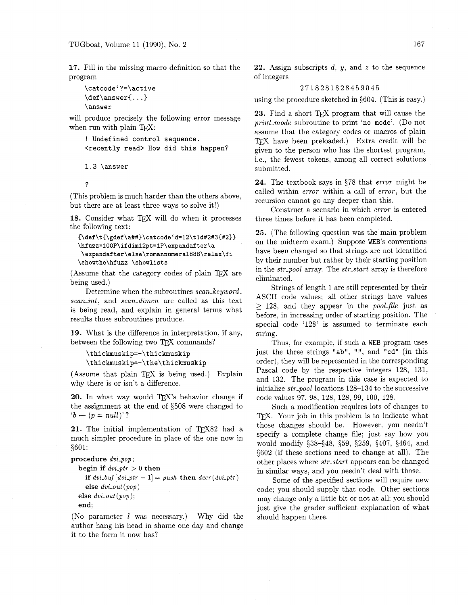**17.** Fill in the missing macro definition so that the program

```
\catcode'?=\active
\def\langle\n \rangle_{\text{...}}\answer
```
will produce precisely the following error message when run with plain TFX:

```
! Undefined control sequence. 
<recently read> How did this happen?
```
 $1.3$  \answer

 $\overline{?}$ 

(This problem is much harder than the others above, but there are at least three wags to solve it!)

18. Consider what TFX will do when it processes the following text:

```
{\def\t{\gdef\a##)\catcodeCd=12\tld#2#3{#2)} 
\hfuzz=100P\ifdiml2pt=lP\expandafter\a 
\expandafter\else\romannumera1888\relax\fi 
\showthe\hfuzz \showlists
```
(Assume that the category codes of plain  $T<sub>E</sub>X$  are being used.)

Determine when the subroutines scan\_keyword. scan\_int, and scan\_dimen are called as this text is being read, and explain in general terms what results those subroutines produce.

**19.** What is the difference in interpretation, if any, between the following two TFX commands?

```
\thickmuskip=-\thickmuskip 
\thickmuskip=-\the\thickmuskip
```
(Assume that plain TEX is being used.) Explain why there is or isn't a difference.

**20.** In what way would T<sub>F</sub>X's behavior change if the assignment at the end of 5508 were changed to  $b \leftarrow (p = null)$ ?

21. The initial implementation of TEX82 had a much simpler procedure in place of the one now in 5601:

**procedure** dvi-pop ;

```
begin if dv_i<sup>-ptr</sup> > 0 then
  if dvi_buf[dvi_ptr - 1] = push then decr(dvi_ptr)else dvi-out (pop) 
else dvi-out (pop); 
end;
```
(No parameter  $l$  was necessary.) Why did the author hang his head in shame one day and change it to the form it now has?

**22.** Assign subscripts d, y, and *z* to the sequence of integers

## 2718281828459045

using the procedure sketched in \$604. (This is easy.)

23. Find a short T<sub>E</sub>X program that will cause the print-mode subroutine to print 'no mode'. (Do not assume that the category codes or macros of plain TEX have been preloaded.) Extra credit will be given to the person who has the shortest program, i.e., the fewest tokens, among all correct solutions submitted.

24. The textbook says in 578 that error might be called within error within a call of error. but the recursion cannot go any deeper than this.

Construct a scenario in which error is entered three times before it has been completed.

25. (The following question was the main problem on the midterm exam.) Suppose WEB'S conventions have been changed so that strings are not identified by their number but rather by their starting position in the str-pool array. The str-start array is therefore eliminated.

Strings of length 1 are still represented by their ASCII code values; all other strings have values  $> 128$ , and they appear in the *pool-file* just as before, in increasing order of starting position. The special code '128' is assumed to terminate each string.

Thus, for example, if such a WEB program uses just the three strings "ab", "", and "cd" (in this order), they will be represented in the corresponding Pascal code by the respective integers 128, 131. and 132. The program in this case is expected to initialize str-pool locations 128-134 to the successive code values 97, 98, 128, 128, 99. 100, 128.

Such a modification requires lots of changes to TFX. Your job in this problem is to indicate what those changes should be. However. you needn't specify a complete change file; just say how you would modify \$38-548, 559, \$259, \$407, 5464, and 5602 (if these sections need to change at all). The other places where *str\_start* appears can be changed in similar ways, and you needn't deal with those.

Some of the specified sections will require new code; you should supply that code. Other sections may change only a little bit or not at all; you should just give the grader sufficient explanation of what should happen there.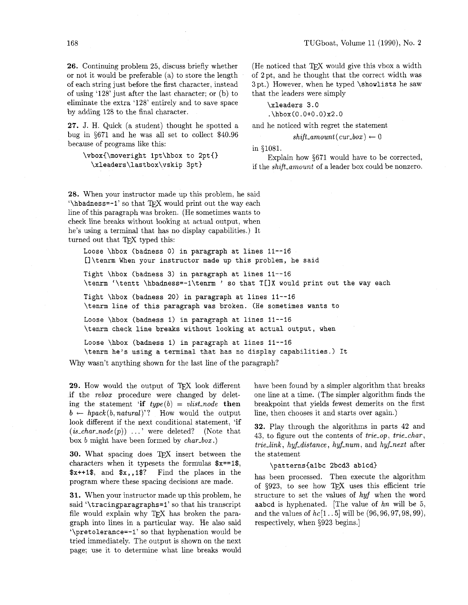**26.** Continuing problem 25, discuss briefly whether or not it would be preferable (a) to store the length of each string just before the first character, instead of using '128' just after the last character; or (b) to eliminate the extra '128' entirely and to save space by adding 128 to the final character.

**27. J.** H. Quick (a student) thought he spotted a bug in \$671 and he was all set to collect \$40.96 because of programs like this:

**\vbox{\moveright lpt\hbox to 2pt{} \xleaders\lastbox\vskip 3ptl** 

(He noticed that T<sub>EX</sub> would give this vbox a width of 2pt, and he thought that the correct width was 3pt.) However, when he typed **\showlists** he saw that the leaders were simply

**\xleaders 3.0** 

**.\hbox(0.0+0.0)x2.0** 

and he noticed with regret the statement

 $shift\_amount(cur\_box) \leftarrow 0$ 

in \$1081.

Explain how  $671$  would have to be corrected, if the shift\_amount of a leader box could be nonzero.

**28.** When your instructor made up this problem, he said '\hbadness=-1' so that TFX would print out the way each line of this paragraph was broken. (He sometimes wants to check line breaks without looking at actual output, when he's using a terminal that has no display capabilities.) It turned out that TFX typed this:

**Loose \hbox (badness 0) in paragraph at lines 11-16 []\tenrm When your instructor made up this problem, he said** 

**Tight \hbox (badness 3) in paragraph at lines 11-16 \tenrm '\tentt \hbadness=-l\tenrm** ' **so that** T[lX **would print out the way each** 

**Tight \hbox (badness 20) in paragraph at lines 11-16 \tenrm line of this paragraph was broken. (He sometimes wants to** 

**Loose \hbox (badness 1) in paragraph at lines 11--16 \tern check line breaks without looking at actual output, when** 

**Loose \hbox (badness 1) in paragraph at lines 11-16 \tenrm he's using a terminal that has no display capabilities.) It** 

Why wasn't anything shown for the last line of the paragraph?

29. How would the output of TEX look different if the rebox procedure were changed by deleting the statement 'if  $type(b) = vlist-node$  then  $b \leftarrow \text{hpack}(b, \text{natural})$ '? How would the output look different if the next conditional statement, **'if**   $(is\_char.node(p))$  ...' were deleted? (Note that box b might have been formed by char-box .)

**30.** What spacing does TEX insert between the characters when it typesets the formulas **\$x== I\$, \$x++I\$,** and **\$x, ,I\$?** Find the places in the program where these spacing decisions are made.

**31.** When your instructor made up this problem, he said **'\tracingparagraphs=1'** so that his transcript file would explain why TEX has broken the paragraph into lines in a particular way. He also said **'\pretolerance=-1'** so that hyphenation would be tried immediately. The output is shown on the next page; use it to determine what line breaks would have been found by a simpler algorithm that breaks one line at a time. (The simpler algorithm finds the breakpoint that yields fewest demerits on the first line, then chooses it and starts over again.)

**32.** Play through the algorithms in parts 42 and 43, to figure out the contents of trie-op, trie-char, trie-link , hyf-distance , hyf-num, and hyf-next after the statement

**\patterns{albc 2bcd3 ablcd}** 

has been processed. Then execute the algorithm of \$923, to see how TEX uses this efficient trie structure to set the values of hyf when the word **aabcd** is hyphenated. [The value of hn will be 5, and the values of  $hc[1..5]$  will be  $(96,96,97,98,99)$ , respectively, when \$923 begins.]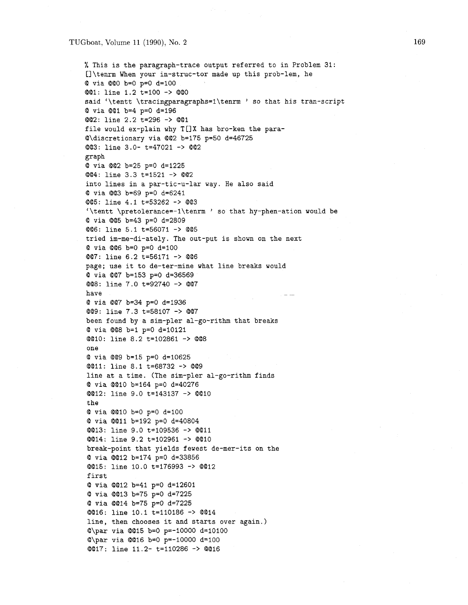#### TUGboat, Volume 11 (1990), No. **2**

% This is the paragraph-trace output referred to in Problem 31: Cl\tenrm When your in-struc-tor made up this prob-lem, he @ via @@O b=O p=O d=100 @@I: line 1.2 t=lOO -> @@O said '\tentt **\tracingparagraphs=l\tenrm** ' so that his tran-script @ via @@I b=4 p=O d=196 @@2: line 2.2 t=296 -> @@I file would ex-plain why T[]X has bro-ken the para-@\discretionary via @@2 b=175 p=50 d=46725 @@3: line 3.0- t=47021 -> **@@2**  graph @ via @@2 b=25 p=O d=1225 @@4: line 3.3 t=1521 -> @@2 into lines in a par-tic-u-lar way. He also said @ via @@3 b=69 p=O d=6241 @@5: line 4.1 t=53262 -> @@3 '\tentt \pretolerance=-l\tenrm ' so that hy-phen-ation would be @ via **@@5** b=43 p=O d=2809 @@6: line 5.1 t=56071 -> @@5 tried im-me-di-ately. The out-put is shown on the next @ via @@6 b=O p=O d=100 @@7: line 6.2 t=56171 -> @@6 page; use it to de-ter-mine what line breaks would @ via @@7 b=153 p=O d=36569 @@8: line 7.0 t=92740 -> @@7 have  $-$ @ via @@7 b=34 p=O d=1936 @@9: line 7.3 t=58107 -> @@7 been found by a sim-pler al-go-rithm that breaks @ via @@8 b=l p=O d=10121 @@lo: line 8.2 t=102861 -> @@8 one @ via @@9 b=15 p=O d=10625 @@11: line 8.1 t=68732 -> 0629 line at a time. (The sim-pler al-go-rithm finds @ via @@I0 b=164 p=O d=40276 @@12: line 9.0 t=143137 -> @@I0 the @ via @@I0 b=O p=O d=100 @ via @@I1 b=192 p=O d=40804 @@13: line 9.0 t=109536 -> @@I1 @@14: line 9.2 t=102961 -> @@I0 break-point that yields fewest de-mer-its on the @ via @@I2 b=174 p=O d=33856 @@15: line 10.0 t=176993 -> @@I2 first @ via @@I2 b=41 p=O d=12601 @ via @@I3 b=75 p=O d=7225 @ via @@I4 b=75 p=O d=7225 @@16: line 10.1 t=110186 -> @@I4 line, then chooses it and starts over again.) @\par via @@I5 b=O p=-10000 d=10100 @\par via @@I6 b=O p=-10000 d-100 @@17: line 11.2- t=110286 -> @@I6